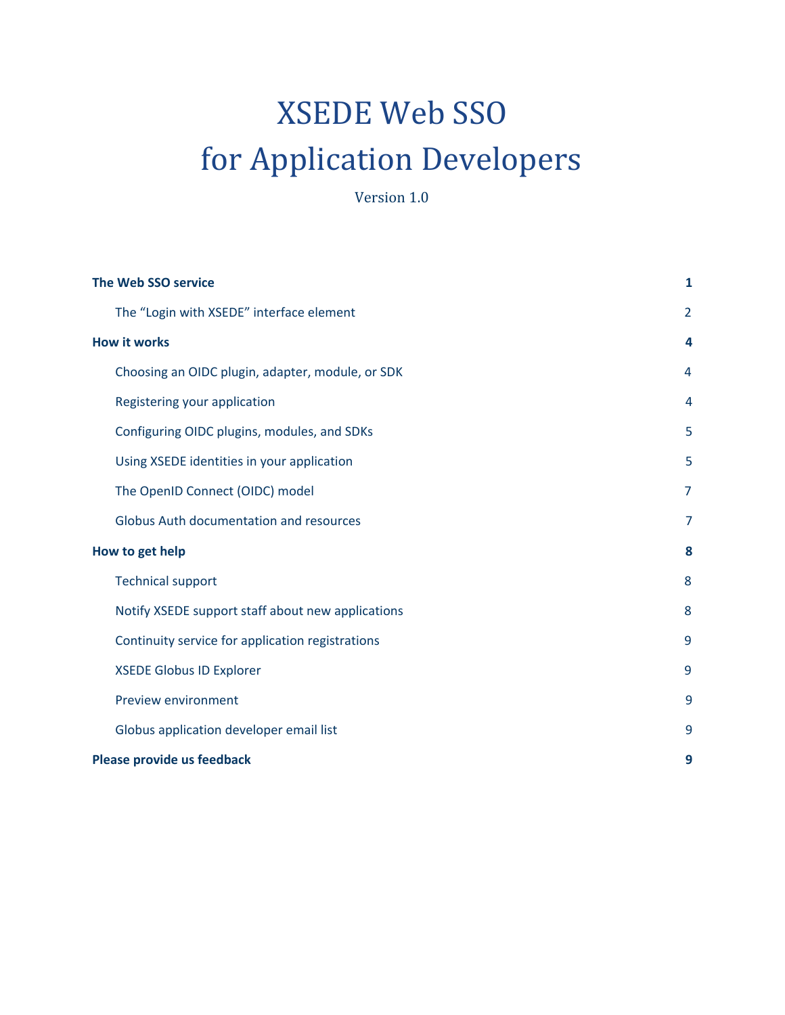# XSEDE Web SSO for Application Developers

Version 1.0

|                 | <b>The Web SSO service</b>                        |                |  |
|-----------------|---------------------------------------------------|----------------|--|
|                 | The "Login with XSEDE" interface element          | $\overline{2}$ |  |
|                 | <b>How it works</b>                               |                |  |
|                 | Choosing an OIDC plugin, adapter, module, or SDK  | 4              |  |
|                 | Registering your application                      | 4              |  |
|                 | Configuring OIDC plugins, modules, and SDKs       | 5              |  |
|                 | Using XSEDE identities in your application        | 5              |  |
|                 | The OpenID Connect (OIDC) model                   | $\overline{7}$ |  |
|                 | Globus Auth documentation and resources           | 7              |  |
| How to get help |                                                   | 8              |  |
|                 | <b>Technical support</b>                          | 8              |  |
|                 | Notify XSEDE support staff about new applications | 8              |  |
|                 | Continuity service for application registrations  | 9              |  |
|                 | <b>XSEDE Globus ID Explorer</b>                   | 9              |  |
|                 | Preview environment                               | 9              |  |
|                 | Globus application developer email list           | 9              |  |
|                 | Please provide us feedback                        |                |  |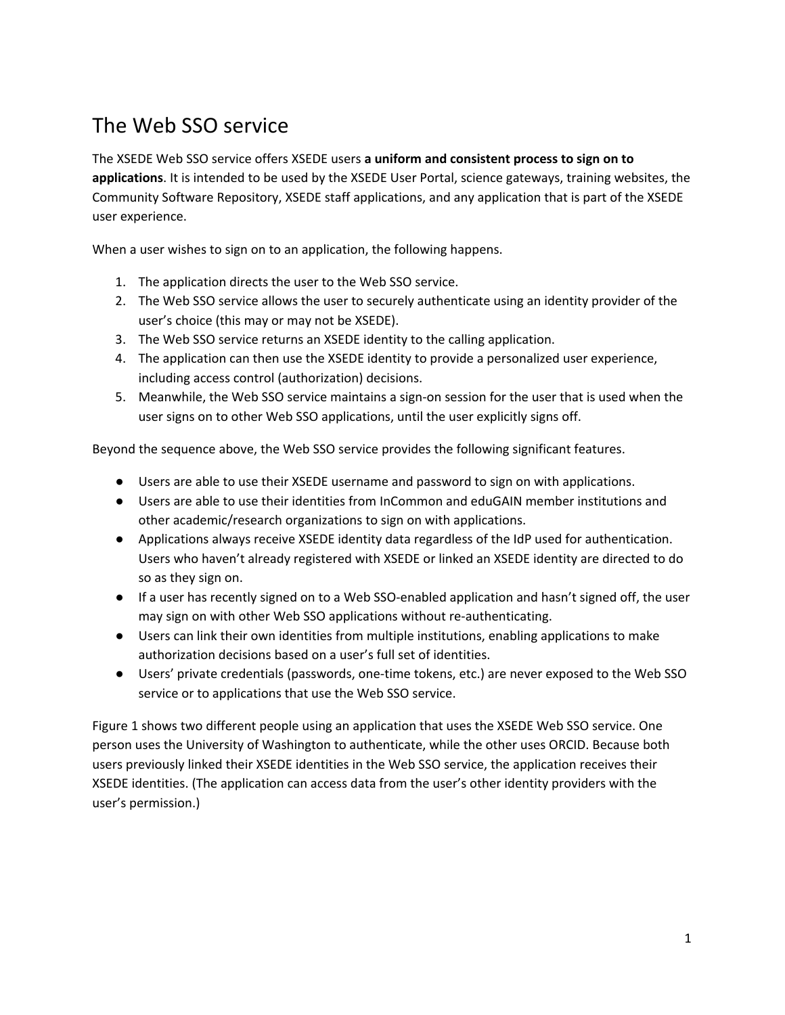# <span id="page-1-0"></span>The Web SSO service

The XSEDE Web SSO service offers XSEDE users **a uniform and consistent process to sign on to applications**. It is intended to be used by the XSEDE User Portal, science gateways, training websites, the Community Software Repository, XSEDE staff applications, and any application that is part of the XSEDE user experience.

When a user wishes to sign on to an application, the following happens.

- 1. The application directs the user to the Web SSO service.
- 2. The Web SSO service allows the user to securely authenticate using an identity provider of the user's choice (this may or may not be XSEDE).
- 3. The Web SSO service returns an XSEDE identity to the calling application.
- 4. The application can then use the XSEDE identity to provide a personalized user experience, including access control (authorization) decisions.
- 5. Meanwhile, the Web SSO service maintains a sign-on session for the user that is used when the user signs on to other Web SSO applications, until the user explicitly signs off.

Beyond the sequence above, the Web SSO service provides the following significant features.

- Users are able to use their XSEDE username and password to sign on with applications.
- Users are able to use their identities from InCommon and eduGAIN member institutions and other academic/research organizations to sign on with applications.
- Applications always receive XSEDE identity data regardless of the IdP used for authentication. Users who haven't already registered with XSEDE or linked an XSEDE identity are directed to do so as they sign on.
- If a user has recently signed on to a Web SSO-enabled application and hasn't signed off, the user may sign on with other Web SSO applications without re-authenticating.
- Users can link their own identities from multiple institutions, enabling applications to make authorization decisions based on a user's full set of identities.
- Users' private credentials (passwords, one-time tokens, etc.) are never exposed to the Web SSO service or to applications that use the Web SSO service.

Figure 1 shows two different people using an application that uses the XSEDE Web SSO service. One person uses the University of Washington to authenticate, while the other uses ORCID. Because both users previously linked their XSEDE identities in the Web SSO service, the application receives their XSEDE identities. (The application can access data from the user's other identity providers with the user's permission.)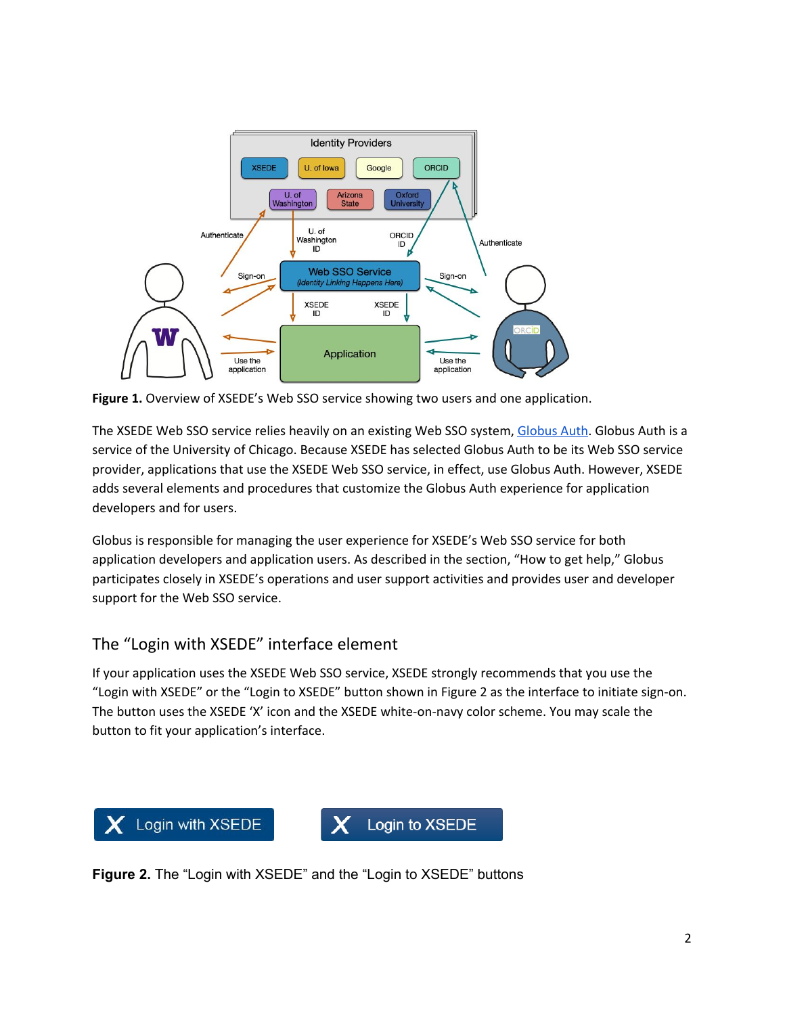

**Figure 1.** Overview of XSEDE's Web SSO service showing two users and one application.

The XSEDE Web SSO service relies heavily on an existing Web SSO system, [Globus](https://docs.globus.org/api/auth/) Auth. Globus Auth is a service of the University of Chicago. Because XSEDE has selected Globus Auth to be its Web SSO service provider, applications that use the XSEDE Web SSO service, in effect, use Globus Auth. However, XSEDE adds several elements and procedures that customize the Globus Auth experience for application developers and for users.

Globus is responsible for managing the user experience for XSEDE's Web SSO service for both application developers and application users. As described in the section, "How to get help," Globus participates closely in XSEDE's operations and user support activities and provides user and developer support for the Web SSO service.

## <span id="page-2-0"></span>The "Login with XSEDE" interface element

If your application uses the XSEDE Web SSO service, XSEDE strongly recommends that you use the "Login with XSEDE" or the "Login to XSEDE" button shown in Figure 2 as the interface to initiate sign-on. The button uses the XSEDE 'X' icon and the XSEDE white-on-navy color scheme. You may scale the button to fit your application's interface.



**Figure 2.** The "Login with XSEDE" and the "Login to XSEDE" buttons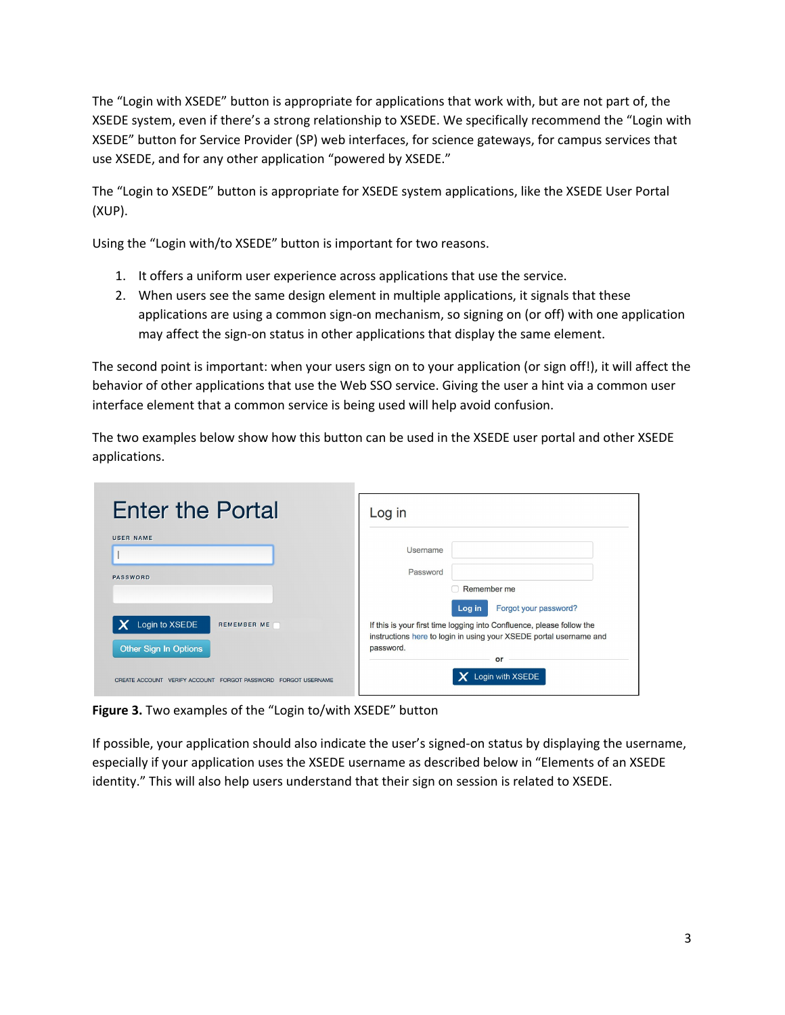The "Login with XSEDE" button is appropriate for applications that work with, but are not part of, the XSEDE system, even if there's a strong relationship to XSEDE. We specifically recommend the "Login with XSEDE" button for Service Provider (SP) web interfaces, for science gateways, for campus services that use XSEDE, and for any other application "powered by XSEDE."

The "Login to XSEDE" button is appropriate for XSEDE system applications, like the XSEDE User Portal (XUP).

Using the "Login with/to XSEDE" button is important for two reasons.

- 1. It offers a uniform user experience across applications that use the service.
- 2. When users see the same design element in multiple applications, it signals that these applications are using a common sign-on mechanism, so signing on (or off) with one application may affect the sign-on status in other applications that display the same element.

The second point is important: when your users sign on to your application (or sign off!), it will affect the behavior of other applications that use the Web SSO service. Giving the user a hint via a common user interface element that a common service is being used will help avoid confusion.

The two examples below show how this button can be used in the XSEDE user portal and other XSEDE applications.

| <b>Enter the Portal</b>                                       | Log in                                                                                                                                                                                            |
|---------------------------------------------------------------|---------------------------------------------------------------------------------------------------------------------------------------------------------------------------------------------------|
| <b>USER NAME</b><br><b>PASSWORD</b>                           | Username<br>Password<br>Remember me<br>n                                                                                                                                                          |
| Login to XSEDE<br>REMEMBER ME<br>Other Sign In Options        | Log in<br>Forgot your password?<br>If this is your first time logging into Confluence, please follow the<br>instructions here to login in using your XSEDE portal username and<br>password.<br>or |
| CREATE ACCOUNT VERIFY ACCOUNT FORGOT PASSWORD FORGOT USERNAME | Login with XSEDE                                                                                                                                                                                  |

**Figure 3.** Two examples of the "Login to/with XSEDE" button

If possible, your application should also indicate the user's signed-on status by displaying the username, especially if your application uses the XSEDE username as described below in "Elements of an XSEDE identity." This will also help users understand that their sign on session is related to XSEDE.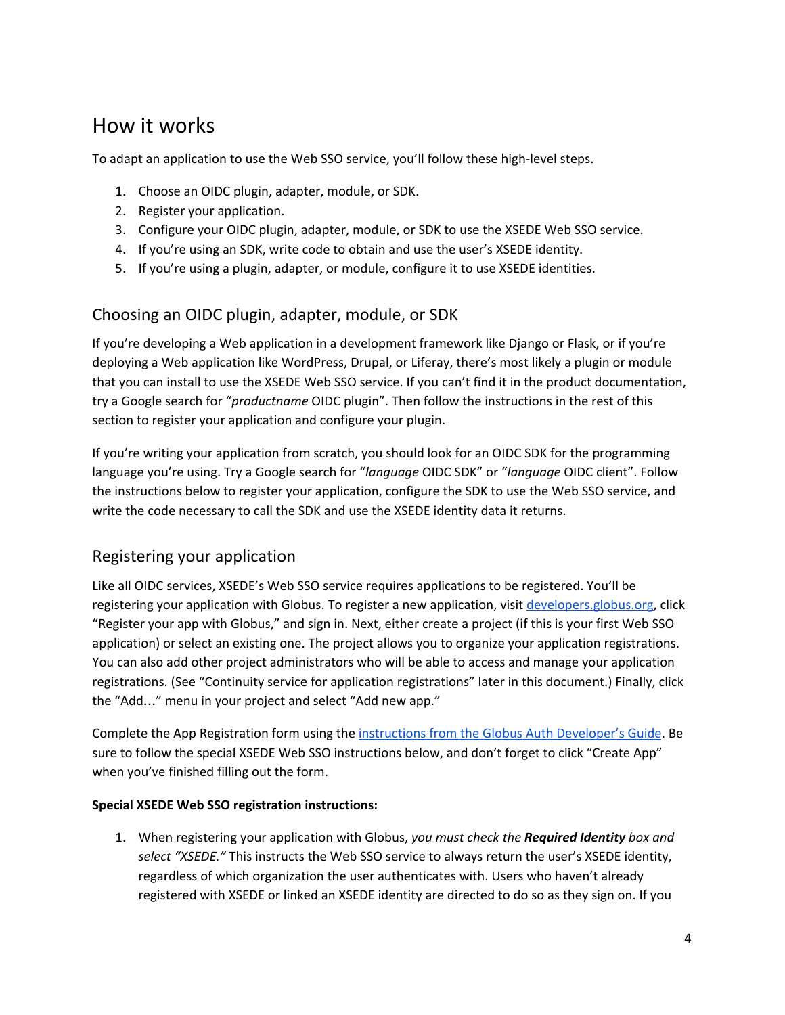# <span id="page-4-0"></span>How it works

To adapt an application to use the Web SSO service, you'll follow these high-level steps.

- 1. Choose an OIDC plugin, adapter, module, or SDK.
- 2. Register your application.
- 3. Configure your OIDC plugin, adapter, module, or SDK to use the XSEDE Web SSO service.
- 4. If you're using an SDK, write code to obtain and use the user's XSEDE identity.
- 5. If you're using a plugin, adapter, or module, configure it to use XSEDE identities.

#### <span id="page-4-1"></span>Choosing an OIDC plugin, adapter, module, or SDK

If you're developing a Web application in a development framework like Django or Flask, or if you're deploying a Web application like WordPress, Drupal, or Liferay, there's most likely a plugin or module that you can install to use the XSEDE Web SSO service. If you can't find it in the product documentation, try a Google search for "*productname* OIDC plugin". Then follow the instructions in the rest of this section to register your application and configure your plugin.

If you're writing your application from scratch, you should look for an OIDC SDK for the programming language you're using. Try a Google search for "*language* OIDC SDK" or "*language* OIDC client". Follow the instructions below to register your application, configure the SDK to use the Web SSO service, and write the code necessary to call the SDK and use the XSEDE identity data it returns.

#### <span id="page-4-2"></span>Registering your application

Like all OIDC services, XSEDE's Web SSO service requires applications to be registered. You'll be registering your application with Globus. To register a new application, visit [developers.globus.org,](https://developers.globus.org/) click "Register your app with Globus," and sign in. Next, either create a project (if this is your first Web SSO application) or select an existing one. The project allows you to organize your application registrations. You can also add other project administrators who will be able to access and manage your application registrations. (See "Continuity service for application registrations" later in this document.) Finally, click the "Add…" menu in your project and select "Add new app."

Complete the App Registration form using the instructions from the Globus Auth [Developer's](https://docs.globus.org/api/auth/developer-guide/#register-app) Guide. Be sure to follow the special XSEDE Web SSO instructions below, and don't forget to click "Create App" when you've finished filling out the form.

#### **Special XSEDE Web SSO registration instructions:**

1. When registering your application with Globus, *you must check the Required Identity box and select "XSEDE."* This instructs the Web SSO service to always return the user's XSEDE identity, regardless of which organization the user authenticates with. Users who haven't already registered with XSEDE or linked an XSEDE identity are directed to do so as they sign on. If you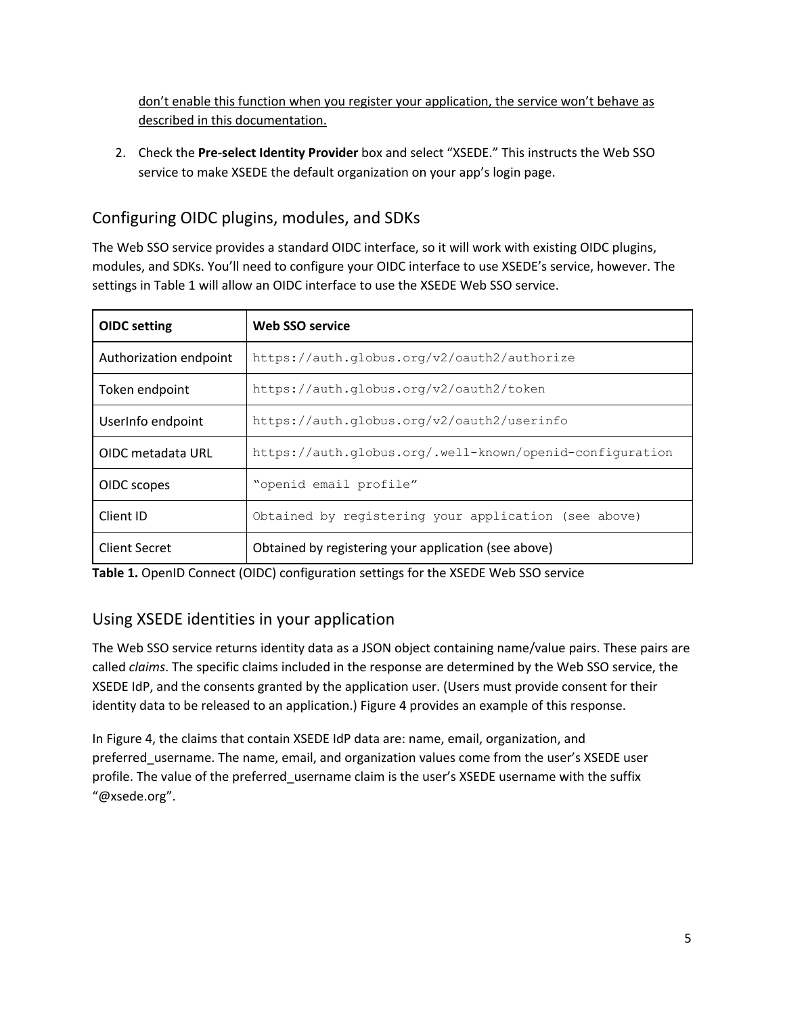don't enable this function when you register your application, the service won't behave as described in this documentation.

2. Check the **Pre-select Identity Provider** box and select "XSEDE." This instructs the Web SSO service to make XSEDE the default organization on your app's login page.

## <span id="page-5-0"></span>Configuring OIDC plugins, modules, and SDKs

The Web SSO service provides a standard OIDC interface, so it will work with existing OIDC plugins, modules, and SDKs. You'll need to configure your OIDC interface to use XSEDE's service, however. The settings in Table 1 will allow an OIDC interface to use the XSEDE Web SSO service.

| <b>OIDC</b> setting    | <b>Web SSO service</b>                                   |
|------------------------|----------------------------------------------------------|
| Authorization endpoint | https://auth.globus.org/v2/oauth2/authorize              |
| Token endpoint         | https://auth.globus.org/v2/oauth2/token                  |
| UserInfo endpoint      | https://auth.globus.org/v2/oauth2/userinfo               |
| OIDC metadata URL      | https://auth.globus.org/.well-known/openid-configuration |
| OIDC scopes            | "openid email profile"                                   |
| Client ID              | Obtained by registering your application (see above)     |
| <b>Client Secret</b>   | Obtained by registering your application (see above)     |

**Table 1.** OpenID Connect (OIDC) configuration settings for the XSEDE Web SSO service

### <span id="page-5-1"></span>Using XSEDE identities in your application

The Web SSO service returns identity data as a JSON object containing name/value pairs. These pairs are called *claims*. The specific claims included in the response are determined by the Web SSO service, the XSEDE IdP, and the consents granted by the application user. (Users must provide consent for their identity data to be released to an application.) Figure 4 provides an example of this response.

In Figure 4, the claims that contain XSEDE IdP data are: name, email, organization, and preferred\_username. The name, email, and organization values come from the user's XSEDE user profile. The value of the preferred\_username claim is the user's XSEDE username with the suffix "@xsede.org".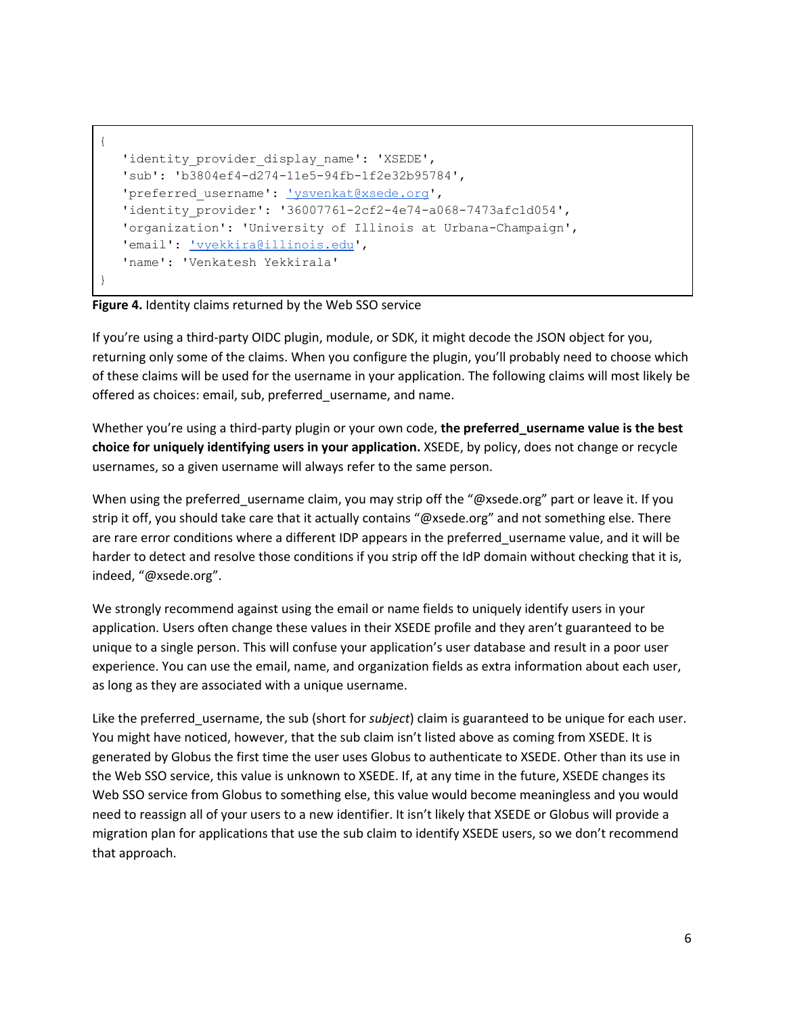```
{
  'identity provider display name': 'XSEDE',
  'sub': 'b3804ef4-d274-11e5-94fb-1f2e32b95784',
  'ysvenkat@xsede.org',
  'identity_provider': '36007761-2cf2-4e74-a068-7473afc1d054',
  'organization': 'University of Illinois at Urbana-Champaign',
  'vyekkira@illinois.edu',
  'name': 'Venkatesh Yekkirala'
}
```
#### **Figure 4.** Identity claims returned by the Web SSO service

If you're using a third-party OIDC plugin, module, or SDK, it might decode the JSON object for you, returning only some of the claims. When you configure the plugin, you'll probably need to choose which of these claims will be used for the username in your application. The following claims will most likely be offered as choices: email, sub, preferred\_username, and name.

Whether you're using a third-party plugin or your own code, **the preferred\_username value is the best choice for uniquely identifying users in your application.** XSEDE, by policy, does not change or recycle usernames, so a given username will always refer to the same person.

When using the preferred\_username claim, you may strip off the "@xsede.org" part or leave it. If you strip it off, you should take care that it actually contains "@xsede.org" and not something else. There are rare error conditions where a different IDP appears in the preferred username value, and it will be harder to detect and resolve those conditions if you strip off the IdP domain without checking that it is, indeed, "@xsede.org".

We strongly recommend against using the email or name fields to uniquely identify users in your application. Users often change these values in their XSEDE profile and they aren't guaranteed to be unique to a single person. This will confuse your application's user database and result in a poor user experience. You can use the email, name, and organization fields as extra information about each user, as long as they are associated with a unique username.

Like the preferred\_username, the sub (short for *subject*) claim is guaranteed to be unique for each user. You might have noticed, however, that the sub claim isn't listed above as coming from XSEDE. It is generated by Globus the first time the user uses Globus to authenticate to XSEDE. Other than its use in the Web SSO service, this value is unknown to XSEDE. If, at any time in the future, XSEDE changes its Web SSO service from Globus to something else, this value would become meaningless and you would need to reassign all of your users to a new identifier. It isn't likely that XSEDE or Globus will provide a migration plan for applications that use the sub claim to identify XSEDE users, so we don't recommend that approach.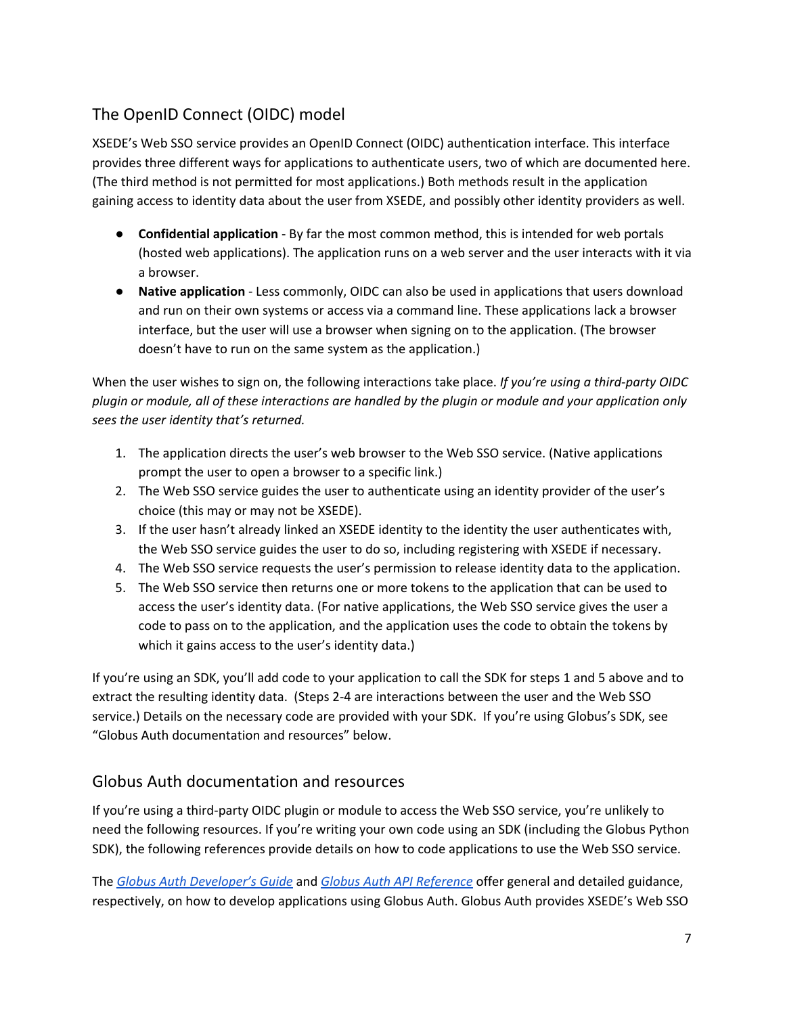## <span id="page-7-0"></span>The OpenID Connect (OIDC) model

XSEDE's Web SSO service provides an OpenID Connect (OIDC) authentication interface. This interface provides three different ways for applications to authenticate users, two of which are documented here. (The third method is not permitted for most applications.) Both methods result in the application gaining access to identity data about the user from XSEDE, and possibly other identity providers as well.

- **Confidential application** By far the most common method, this is intended for web portals (hosted web applications). The application runs on a web server and the user interacts with it via a browser.
- **Native application** Less commonly, OIDC can also be used in applications that users download and run on their own systems or access via a command line. These applications lack a browser interface, but the user will use a browser when signing on to the application. (The browser doesn't have to run on the same system as the application.)

When the user wishes to sign on, the following interactions take place. *If you're using a third-party OIDC* plugin or module, all of these interactions are handled by the plugin or module and your application only *sees the user identity that's returned.*

- 1. The application directs the user's web browser to the Web SSO service. (Native applications prompt the user to open a browser to a specific link.)
- 2. The Web SSO service guides the user to authenticate using an identity provider of the user's choice (this may or may not be XSEDE).
- 3. If the user hasn't already linked an XSEDE identity to the identity the user authenticates with, the Web SSO service guides the user to do so, including registering with XSEDE if necessary.
- 4. The Web SSO service requests the user's permission to release identity data to the application.
- 5. The Web SSO service then returns one or more tokens to the application that can be used to access the user's identity data. (For native applications, the Web SSO service gives the user a code to pass on to the application, and the application uses the code to obtain the tokens by which it gains access to the user's identity data.)

If you're using an SDK, you'll add code to your application to call the SDK for steps 1 and 5 above and to extract the resulting identity data. (Steps 2-4 are interactions between the user and the Web SSO service.) Details on the necessary code are provided with your SDK. If you're using Globus's SDK, see "Globus Auth documentation and resources" below.

### <span id="page-7-1"></span>Globus Auth documentation and resources

If you're using a third-party OIDC plugin or module to access the Web SSO service, you're unlikely to need the following resources. If you're writing your own code using an SDK (including the Globus Python SDK), the following references provide details on how to code applications to use the Web SSO service.

The *Globus Auth [Developer's](https://docs.globus.org/api/auth/developer-guide) Guide* and *Globus Auth API [Reference](https://docs.globus.org/api/auth/reference)* offer general and detailed guidance, respectively, on how to develop applications using Globus Auth. Globus Auth provides XSEDE's Web SSO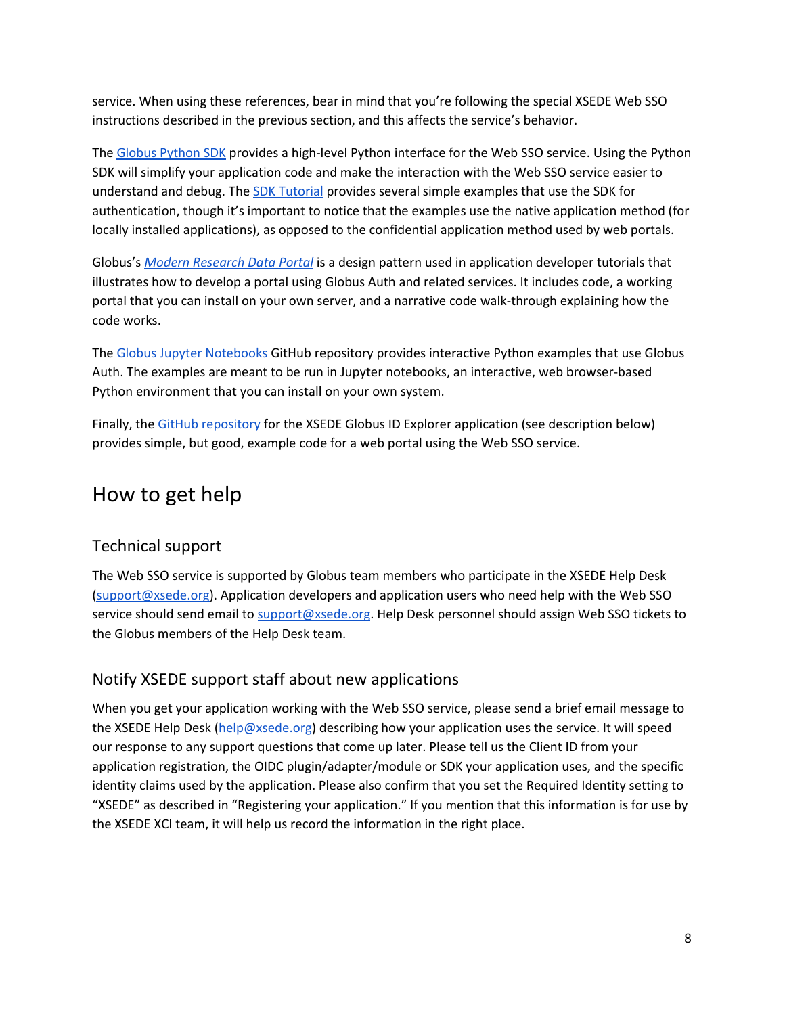service. When using these references, bear in mind that you're following the special XSEDE Web SSO instructions described in the previous section, and this affects the service's behavior.

The Globus [Python](http://globus.github.io/globus-sdk-python) SDK provides a high-level Python interface for the Web SSO service. Using the Python SDK will simplify your application code and make the interaction with the Web SSO service easier to understand and debug. The SDK [Tutorial](https://globus-sdk-python.readthedocs.io/en/latest/tutorial/) provides several simple examples that use the SDK for authentication, though it's important to notice that the examples use the native application method (for locally installed applications), as opposed to the confidential application method used by web portals.

Globus's *Modern [Research](https://docs.globus.org/modern-research-data-portal/) Data Portal* is a design pattern used in application developer tutorials that illustrates how to develop a portal using Globus Auth and related services. It includes code, a working portal that you can install on your own server, and a narrative code walk-through explaining how the code works.

The Globus Jupyter [Notebooks](https://github.com/globus/globus-jupyter-notebooks) GitHub repository provides interactive Python examples that use Globus Auth. The examples are meant to be run in Jupyter notebooks, an interactive, web browser-based Python environment that you can install on your own system.

Finally, the GitHub [repository](https://github.com/lliming/globus-id-explorer) for the XSEDE Globus ID Explorer application (see description below) provides simple, but good, example code for a web portal using the Web SSO service.

# <span id="page-8-0"></span>How to get help

### <span id="page-8-1"></span>Technical support

The Web SSO service is supported by Globus team members who participate in the XSEDE Help Desk [\(support@xsede.org\)](mailto:support@xsede.org). Application developers and application users who need help with the Web SSO service should send email to [support@xsede.org](mailto:support@xsede.org). Help Desk personnel should assign Web SSO tickets to the Globus members of the Help Desk team.

#### <span id="page-8-2"></span>Notify XSEDE support staff about new applications

When you get your application working with the Web SSO service, please send a brief email message to the XSEDE Help Desk [\(help@xsede.org](mailto:help@xsede.org)) describing how your application uses the service. It will speed our response to any support questions that come up later. Please tell us the Client ID from your application registration, the OIDC plugin/adapter/module or SDK your application uses, and the specific identity claims used by the application. Please also confirm that you set the Required Identity setting to "XSEDE" as described in "Registering your application." If you mention that this information is for use by the XSEDE XCI team, it will help us record the information in the right place.